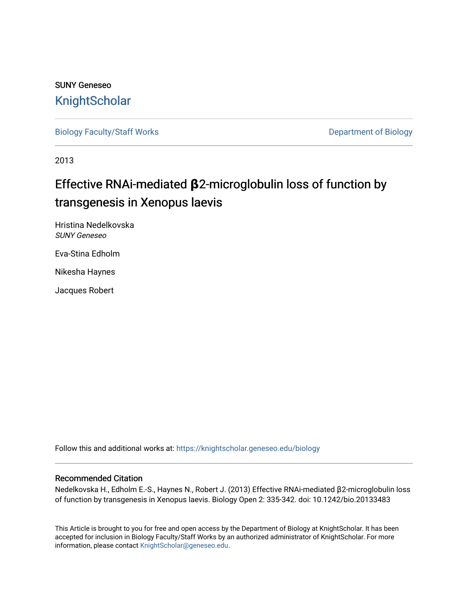## SUNY Geneseo **[KnightScholar](https://knightscholar.geneseo.edu/)**

[Biology Faculty/Staff Works](https://knightscholar.geneseo.edu/biology) **Department of Biology** 

2013

# Effective RNAi-mediated **β**2-microglobulin loss of function by transgenesis in Xenopus laevis

Hristina Nedelkovska SUNY Geneseo

Eva-Stina Edholm

Nikesha Haynes

Jacques Robert

Follow this and additional works at: [https://knightscholar.geneseo.edu/biology](https://knightscholar.geneseo.edu/biology?utm_source=knightscholar.geneseo.edu%2Fbiology%2F39&utm_medium=PDF&utm_campaign=PDFCoverPages) 

## Recommended Citation

Nedelkovska H., Edholm E.-S., Haynes N., Robert J. (2013) Effective RNAi-mediated β2-microglobulin loss of function by transgenesis in Xenopus laevis. Biology Open 2: 335-342. doi: 10.1242/bio.20133483

This Article is brought to you for free and open access by the Department of Biology at KnightScholar. It has been accepted for inclusion in Biology Faculty/Staff Works by an authorized administrator of KnightScholar. For more information, please contact [KnightScholar@geneseo.edu.](mailto:KnightScholar@geneseo.edu)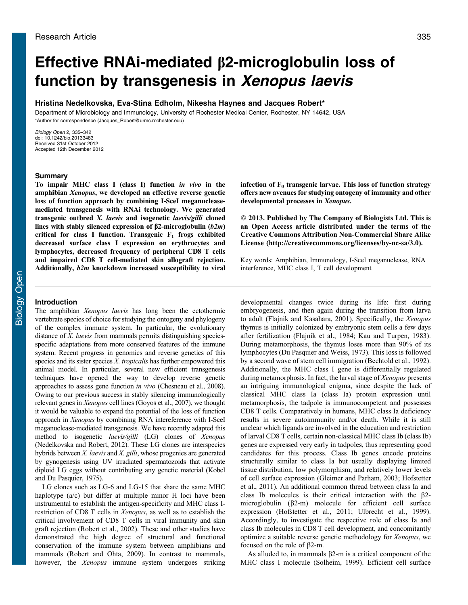# Effective RNAi-mediated  $\beta$ 2-microglobulin loss of function by transgenesis in Xenopus laevis

## Hristina Nedelkovska, Eva-Stina Edholm, Nikesha Haynes and Jacques Robert\*

Department of Microbiology and Immunology, University of Rochester Medical Center, Rochester, NY 14642, USA \*Author for correspondence ([Jacques\\_Robert@urmc.rochester.edu\)](mailto:Jacques_Robert@urmc.rochester.edu)

Biology Open 2, 335–342 doi: 10.1242/bio.20133483 Received 31st October 2012 Accepted 12th December 2012

## Summary

To impair MHC class I (class I) function in vivo in the amphibian Xenopus, we developed an effective reverse genetic loss of function approach by combining I-SceI meganucleasemediated transgenesis with RNAi technology. We generated transgenic outbred X. laevis and isogenetic laevis/gilli cloned lines with stably silenced expression of  $\beta$ 2-microglobulin (b2m) critical for class I function. Transgenic  $F_1$  frogs exhibited decreased surface class I expression on erythrocytes and lymphocytes, decreased frequency of peripheral CD8 T cells and impaired CD8 T cell-mediated skin allograft rejection. Additionally, b2m knockdown increased susceptibility to viral

## Introduction

The amphibian Xenopus laevis has long been the ectothermic vertebrate species of choice for studying the ontogeny and phylogeny of the complex immune system. In particular, the evolutionary distance of *X. laevis* from mammals permits distinguishing speciesspecific adaptations from more conserved features of the immune system. Recent progress in genomics and reverse genetics of this species and its sister species  $X$ . tropicalis has further empowered this animal model. In particular, several new efficient transgenesis techniques have opened the way to develop reverse genetic approaches to assess gene function in vivo [\(Chesneau et al., 2008\)](#page-7-0). Owing to our previous success in stably silencing immunologically relevant genes in Xenopus cell lines ([Goyos et al., 2007\)](#page-8-0), we thought it would be valuable to expand the potential of the loss of function approach in Xenopus by combining RNA intereference with I-SceI meganuclease-mediated transgenesis. We have recently adapted this method to isogenetic laevis/gilli (LG) clones of Xenopus ([Nedelkovska and Robert, 2012\)](#page-8-0). These LG clones are interspecies hybrids between X. laevis and X. gilli, whose progenies are generated by gynogenesis using UV irradiated spermatozoids that activate diploid LG eggs without contributing any genetic material [\(Kobel](#page-8-0) [and Du Pasquier, 1975](#page-8-0)).

LG clones such as LG-6 and LG-15 that share the same MHC haplotype (a/c) but differ at multiple minor H loci have been instrumental to establish the antigen-specificity and MHC class Irestriction of CD8 T cells in Xenopus, as well as to establish the critical involvement of CD8 T cells in viral immunity and skin graft rejection [\(Robert et al., 2002](#page-8-0)). These and other studies have demonstrated the high degree of structural and functional conservation of the immune system between amphibians and mammals ([Robert and Ohta, 2009\)](#page-8-0). In contrast to mammals, however, the Xenopus immune system undergoes striking infection of  $F_0$  transgenic larvae. This loss of function strategy offers new avenues for studying ontogeny of immunity and other developmental processes in Xenopus.

- 2013. Published by The Company of Biologists Ltd. This is an Open Access article distributed under the terms of the Creative Commons Attribution Non-Commercial Share Alike License ([http://creativecommons.org/licenses/by-nc-sa/3.0\)](http://creativecommons.org/licenses/by-nc-sa/3.0).

Key words: Amphibian, Immunology, I-SceI meganuclease, RNA interference, MHC class I, T cell development

developmental changes twice during its life: first during embryogenesis, and then again during the transition from larva to adult ([Flajnik and Kasahara, 2001](#page-8-0)). Specifically, the Xenopus thymus is initially colonized by embryonic stem cells a few days after fertilization [\(Flajnik et al., 1984; Kau and Turpen, 1983](#page-8-0)). During metamorphosis, the thymus loses more than 90% of its lymphocytes [\(Du Pasquier and Weiss, 1973\)](#page-8-0). This loss is followed by a second wave of stem cell immigration ([Bechtold et al., 1992](#page-7-0)). Additionally, the MHC class I gene is differentially regulated during metamorphosis. In fact, the larval stage of *Xenopus* presents an intriguing immunological enigma, since despite the lack of classical MHC class Ia (class Ia) protein expression until metamorphosis, the tadpole is immunocompetent and possesses CD8 T cells. Comparatively in humans, MHC class Ia deficiency results in severe autoimmunity and/or death. While it is still unclear which ligands are involved in the education and restriction of larval CD8 T cells, certain non-classical MHC class Ib (class Ib) genes are expressed very early in tadpoles, thus representing good candidates for this process. Class Ib genes encode proteins structurally similar to class Ia but usually displaying limited tissue distribution, low polymorphism, and relatively lower levels of cell surface expression [\(Gleimer and Parham, 2003; Hofstetter](#page-8-0) [et al., 2011](#page-8-0)). An additional common thread between class Ia and class Ib molecules is their critical interaction with the  $\beta$ 2microglobulin  $(\beta2-m)$  molecule for efficient cell surface expression ([Hofstetter et al., 2011](#page-8-0); [Ulbrecht et al., 1999](#page-8-0)). Accordingly, to investigate the respective role of class Ia and class Ib molecules in CD8 T cell development, and concomitantly optimize a suitable reverse genetic methodology for Xenopus, we focused on the role of  $\beta$ 2-m.

As alluded to, in mammals  $\beta$ 2-m is a critical component of the MHC class I molecule [\(Solheim, 1999\)](#page-8-0). Efficient cell surface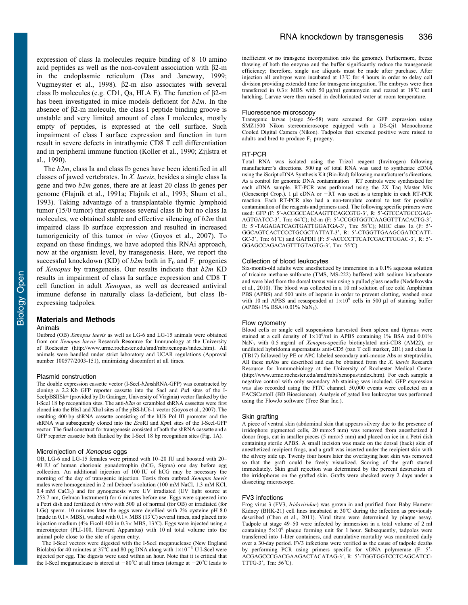expression of class Ia molecules require binding of 8–10 amino acid peptides as well as the non-covalent association with  $\beta$ 2-m in the endoplasmic reticulum [\(Das and Janeway, 1999](#page-8-0); [Vugmeyster et al., 1998](#page-8-0)).  $\beta$ 2-m also associates with several class Ib molecules (e.g. CD1, Qa, HLA E). The function of  $\beta$ 2-m has been investigated in mice models deficient for  $b2m$ . In the absence of  $\beta$ 2-m molecule, the class I peptide binding groove is unstable and very limited amount of class I molecules, mostly empty of peptides, is expressed at the cell surface. Such impairment of class I surface expression and function in turn result in severe defects in intrathymic CD8 T cell differentiation and in peripheral immune function ([Koller et al., 1990; Zijlstra et](#page-8-0) [al., 1990\)](#page-8-0).

The  $b2m$ , class Ia and class Ib genes have been identified in all classes of jawed vertebrates. In X. laevis, besides a single class Ia gene and two  $b2m$  genes, there are at least 20 class Ib genes per genome [\(Flajnik et al., 1991a](#page-8-0); [Flajnik et al., 1993; Shum et al.,](#page-8-0) [1993\)](#page-8-0). Taking advantage of a transplantable thymic lymphoid tumor (15/0 tumor) that expresses several class Ib but no class Ia molecules, we obtained stable and effective silencing of  $b2m$  that impaired class Ib surface expression and resulted in increased tumorigenicity of this tumor in vivo [\(Goyos et al., 2007](#page-8-0)). To expand on these findings, we have adopted this RNAi approach, now at the organism level, by transgenesis. Here, we report the successful knockdown (KD) of  $b2m$  both in  $F_0$  and  $F_1$  progenies of Xenopus by transgenesis. Our results indicate that b2m KD results in impairment of class Ia surface expression and CD8 T cell function in adult Xenopus, as well as decreased antiviral immune defense in naturally class Ia-deficient, but class Ibexpressing tadpoles.

### Materials and Methods

#### Animals

Outbred (OB) Xenopus laevis as well as LG-6 and LG-15 animals were obtained from our Xenopus laevis Research Resource for Immunology at the University of Rochester ([http://www.urmc.rochester.edu/smd/mbi/xenopus/index.htm\)](http://www.urmc.rochester.edu/smd/mbi/xenopus/index.htm). All animals were handled under strict laboratory and UCAR regulations (Approval number 100577/2003-151), minimizing discomfort at all times.

#### Plasmid construction

The double expression cassette vector (I-SceI-b2mshRNA-GFP) was constructed by cloning a 2.2 Kb GFP reporter cassette into the SacI and PstI sites of the I-SceIpBSIISk+ (provided by Dr Grainger, University of Virginia) vector flanked by the I-SceI 18 bp recognition sites. The anti- $b2m$  or scrambled shRNA cassettes were first cloned into the BbsI and XhoI sites of the pBS-hU6-1 vector [\(Goyos et al., 2007\)](#page-8-0). The resulting 400 bp shRNA cassette consisting of the hU6 Pol III promoter and the shRNA was subsequently cloned into the EcoRI and KpnI sites of the I-SceI-GFP vector. The final construct for transgenesis consisted of both the shRNA cassette and a GFP reporter cassette both flanked by the I-SceI 18 bp recognition sites ([Fig. 1A](#page-3-0)).

#### Microinjection of Xenopus eggs

OB, LG-6 and LG-15 females were primed with 10–20 IU and boosted with 20– 40 IU of human chorionic gonadotrophin (hCG, Sigma) one day before egg collection. An additional injection of 100 IU of hCG may be necessary the morning of the day of transgenic injection. Testis from outbred Xenopus laevis males were homogenized in 2 ml Deboer's solution (100 mM NaCl, 1.3 mM KCl,  $0.4$  mM CaCl<sub>2</sub>) and for gynogenesis were UV irradiated (UV light source at 253.7 nm, Gelman Instrument) for 6 minutes before use. Eggs were squeezed into a Petri dish and fertilized in vitro with 500 µl of normal (for OB) or irradiated (for LGs) sperm. 10 minutes later the eggs were dejellied with 2% cysteine pH 8.0 (made in  $0.1 \times \text{MBS}$ ), washed with  $0.1 \times \text{MBS}$  (13°C) several times, and placed into injection medium (4% Ficoll 400 in  $0.3 \times \text{MBS}$ , 13°C). Eggs were injected using a microinjector (PLI-100, Harvard Apparatus) with 10 nl total volume into the animal pole close to the site of sperm entry.

The I-SceI vectors were digested with the I-SceI meganuclease (New England Biolabs) for 40 minutes at 37°C and 80 pg DNA along with  $1\times10^{-3}$  U I-SceI were injected per egg. The digests were used within an hour. Note that it is critical that the I-SceI meganuclease is stored at  $-80^{\circ}\text{C}$  at all times (storage at  $-20^{\circ}\text{C}$  leads to

inefficient or no transgene incorporation into the genome). Furthermore, freeze thawing of both the enzyme and the buffer significantly reduce the transgenesis efficiency; therefore, single use aliquots must be made after purchase. After injection all embryos were incubated at 13˚C for 4 hours in order to delay cell division providing extended time for transgene integration. The embryos were then transferred in  $0.3 \times$  MBS with 50 µg/ml gentamycin and reared at 18°C until hatching. Larvae were then raised in dechlorinated water at room temperature.

#### Fluorescence microscopy

Transgenic larvae (stage 56–58) were screened for GFP expression using SMZ1500 Nikon stereomicroscope equipped with a DS-Qi1 Monochrome Cooled Digital Camera (Nikon). Tadpoles that screened positive were raised to adults and bred to produce  $F_1$  progeny.

#### RT-PCR

Total RNA was isolated using the Trizol reagent (Invitrogen) following manufacturer's directions. 500 ng of total RNA was used to synthesize cDNA using the iScript cDNA Synthesis Kit (Bio-Rad) following manufacturer's directions. As a control for genomic DNA contamination -RT controls were synthesized for each cDNA sample. RT-PCR was performed using the 2X Taq Master Mix (Genescript Crop.). 1  $\mu$ l cDNA or  $-\hat{R}T$  was used as a template in each RT-PCR reaction. Each RT-PCR also had a non-template control to test for possible contamination of the reagents and primers used. The following specific primers were used: GFP (F: 5'-ACGGCCACAAGTTCAGCGTG-3', R: 5'-GTCCATGCCGAG-AGTGATCC-3', Tm: 64°C); b2-m (F: 5'-CCGGTGGTCAAGGTTTACACTG-3', R: 5'-TAGAGATCAGTGATTGGATGA-3', Tm: 58°C); MHC class 1a (F: 5'-GGCAGTCACTCCCTGCGCTATTAT-3', R: 5'-CTGGTTGAAGCGATCCATT-GC-3', Tm: 61°C) and GAPDH (F: 5'-ACCCCTTCATCGACTTGGAC-3', R: 5'-GGAGCCAGACAGTTTGTAGTG-3', Tm: 55°C).

#### Collection of blood leukocytes

Six-month-old adults were anesthetized by immersion in a 0.1% aqueous solution of tricaine methane sulfonate (TMS, MS-222) buffered with sodium bicarbonate and were bled from the dorsal tarsus vein using a pulled glass needle ([Nedelkovska](#page-8-0) [et al., 2010](#page-8-0)). The blood was collected in a 10 ml solution of ice cold Amphibian PBS (APBS) and 500 units of heparin in order to prevent clotting, washed once with 10 ml APBS and resuspended at  $1\times10^6$  cells in 500 µl of staining buffer (APBS+1% BSA+0.01% NaN3).

#### Flow cytometry

Blood cells or single cell suspensions harvested from spleen and thymus were stained at a cell density of  $1\times10^6$ /ml in APBS containing 1% BSA and 0.01% NaN<sub>3</sub> with 0.5 mg/ml of Xenopus-specific biotinylated anti-CD8 (AM22), or undiluted hybridoma supernatants anti-CD5 (pan T cell marker, 2B1) and class Ia (TB17) followed by PE or APC labeled secondary anti-mouse Abs or streptavidin. All these mAbs are described and can be obtained from the X. laevis Research Resource for Immunobiology at the University of Rochester Medical Center [\(http://www.urmc.rochester.edu/smd/mbi/xenopus/index.htm\)](http://www.urmc.rochester.edu/smd/mbi/xenopus/index.htm). For each sample a negative control with only secondary Ab staining was included. GFP expression was also recorded using the FITC channel. 50,000 events were collected on a FACSCantoII (BD Biosciences). Analysis of gated live leukocytes was performed using the FlowJo software (Tree Star Inc.).

#### Skin grafting

A piece of ventral skin (abdominal skin that appears silvery due to the presence of irridophore pigmented cells, 20  $mm \times$ 5 mm) was removed from anesthetized J donor frogs, cut in smaller pieces (5 mm×5 mm) and placed on ice in a Petri dish containing sterile APBS. A small incision was made on the dorsal (back) skin of anesthetized recipient frogs, and a graft was inserted under the recipient skin with the silvery side up. Twenty four hours later the overlaying host skin was removed so that the graft could be freely visualized. Scoring of the graft started immediately. Skin graft rejection was determined by the percent destruction of the irridophores on the grafted skin. Grafts were checked every 2 days under a dissecting microscope.

#### FV3 infections

Frog virus 3 (FV3, Iridoviridae) was grown in and purified from Baby Hamster Kidney (BHK-21) cell lines incubated at 30°C during the infection as previously described ([Chen et al., 2011](#page-7-0)). Viral titers were determined by plaque assay. Tadpole at stage 49–50 were infected by immersion in a total volume of 2 ml containing  $5\times10^6$  plaque forming unit for 1 hour. Subsequently, tadpoles were transferred into 1-liter containers, and cumulative mortality was monitored daily over a 30-day period. FV3 infections were verified as the cause of tadpole deaths by performing PCR using primers specific for vDNA polymerase (F: 5'-ACGAGCCCGACGAAGACTACATAG-3', R: 5'-TGGTGGTCCTCAGCATCC-TTTG-3', Tm: 56°C).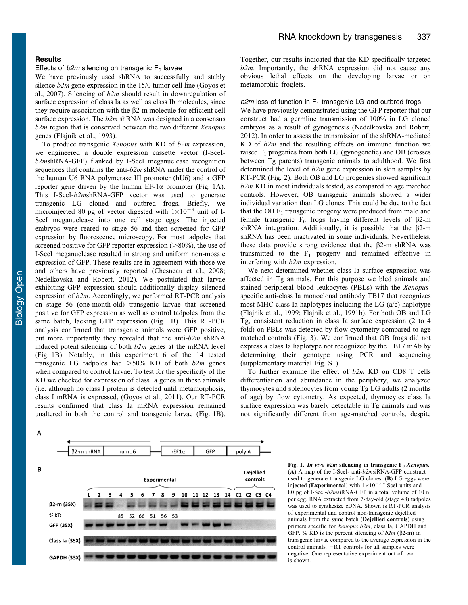## <span id="page-3-0"></span>**Results**

## Effects of  $b2m$  silencing on transgenic  $F_0$  larvae

We have previously used shRNA to successfully and stably silence  $b2m$  gene expression in the 15/0 tumor cell line ([Goyos et](#page-8-0) [al., 2007\)](#page-8-0). Silencing of  $b2m$  should result in downregulation of surface expression of class Ia as well as class Ib molecules, since they require association with the  $\beta$ 2-m molecule for efficient cell surface expression. The  $b2m$  shRNA was designed in a consensus  $b2m$  region that is conserved between the two different Xenopus genes ([Flajnik et al., 1993\)](#page-8-0).

To produce transgenic Xenopus with KD of  $b2m$  expression, we engineered a double expression cassette vector (I-SceIb2mshRNA-GFP) flanked by I-SceI meganuclease recognition sequences that contains the anti- $b2m$  shRNA under the control of the human U6 RNA polymerase III promoter (hU6) and a GFP reporter gene driven by the human  $EF-1\alpha$  promoter (Fig. 1A). This I-SceI-b2mshRNA-GFP vector was used to generate transgenic LG cloned and outbred frogs. Briefly, we microinjected 80 pg of vector digested with  $1\times10^{-3}$  unit of I-SceI meganuclease into one cell stage eggs. The injected embryos were reared to stage 56 and then screened for GFP expression by fluorescence microscopy. For most tadpoles that screened positive for GFP reporter expression  $(>\!\!80\%)$ , the use of I-SceI meganuclease resulted in strong and uniform non-mosaic expression of GFP. These results are in agreement with those we and others have previously reported ([Chesneau et al., 2008](#page-7-0); [Nedelkovska and Robert, 2012\)](#page-8-0). We postulated that larvae exhibiting GFP expression should additionally display silenced expression of  $b2m$ . Accordingly, we performed RT-PCR analysis on stage 56 (one-month-old) transgenic larvae that screened positive for GFP expression as well as control tadpoles from the same batch, lacking GFP expression (Fig. 1B). This RT-PCR analysis confirmed that transgenic animals were GFP positive, but more importantly they revealed that the anti- $b2m$  shRNA induced potent silencing of both  $b2m$  genes at the mRNA level (Fig. 1B). Notably, in this experiment 6 of the 14 tested transgenic LG tadpoles had  $>50\%$  KD of both  $b2m$  genes when compared to control larvae. To test for the specificity of the KD we checked for expression of class Ia genes in these animals (i.e. although no class I protein is detected until metamorphosis, class I mRNA is expressed, ([Goyos et al., 2011](#page-8-0)). Our RT-PCR results confirmed that class Ia mRNA expression remained unaltered in both the control and transgenic larvae (Fig. 1B).

Together, our results indicated that the KD specifically targeted  $b2m$ . Importantly, the shRNA expression did not cause any obvious lethal effects on the developing larvae or on metamorphic froglets.

 $b2m$  loss of function in  $F_1$  transgenic LG and outbred frogs

We have previously demonstrated using the GFP reporter that our construct had a germline transmission of 100% in LG cloned embryos as a result of gynogenesis [\(Nedelkovska and Robert,](#page-8-0) [2012\)](#page-8-0). In order to assess the transmission of the shRNA-mediated KD of  $b2m$  and the resulting effects on immune function we raised  $F_1$  progenies from both LG (gynogenetic) and OB (crosses between Tg parents) transgenic animals to adulthood. We first determined the level of  $b2m$  gene expression in skin samples by RT-PCR ([Fig. 2\)](#page-4-0). Both OB and LG progenies showed significant  $b2m$  KD in most individuals tested, as compared to age matched controls. However, OB transgenic animals showed a wider individual variation than LG clones. This could be due to the fact that the OB  $F_1$  transgenic progeny were produced from male and female transgenic  $F_0$  frogs having different levels of  $\beta$ 2-m shRNA integration. Additionally, it is possible that the  $\beta$ 2-m shRNA has been inactivated in some individuals. Nevertheless, these data provide strong evidence that the  $\beta$ 2-m shRNA was transmitted to the  $F_1$  progeny and remained effective in interfering with b2m expression.

We next determined whether class Ia surface expression was affected in Tg animals. For this purpose we bled animals and stained peripheral blood leukocytes (PBLs) with the Xenopusspecific anti-class Ia monoclonal antibody TB17 that recognizes most MHC class Ia haplotypes including the LG (a/c) haplotype ([Flajnik et al., 1999](#page-8-0); [Flajnik et al., 1991b](#page-8-0)). For both OB and LG Tg, consistent reduction in class Ia surface expression (2 to 4 fold) on PBLs was detected by flow cytometry compared to age matched controls ([Fig. 3\)](#page-4-0). We confirmed that OB frogs did not express a class Ia haplotype not recognized by the TB17 mAb by determining their genotype using PCR and sequencing ([supplementary material Fig. S1](http://bio.biologists.org/lookup/suppl/doi:10.1242/bio.20133483/-/DC1)).

To further examine the effect of  $b2m$  KD on CD8 T cells differentiation and abundance in the periphery, we analyzed thymocytes and splenocytes from young Tg LG adults (2 months of age) by flow cytometry. As expected, thymocytes class Ia surface expression was barely detectable in Tg animals and was not significantly different from age-matched controls, despite

Δ



Fig. 1. In vivo b2m silencing in transgenic  $F_0$  Xenopus. (A) A map of the I-SceI- anti-b2msiRNA-GFP construct used to generate transgenic LG clones. (B) LG eggs were injected (Experimental) with  $1\times10^{-3}$  I-SceI units and 80 pg of I-SceI-b2msiRNA-GFP in a total volume of 10 nl per egg. RNA extracted from 7-day-old (stage 48) tadpoles was used to synthesize cDNA. Shown is RT-PCR analysis of experimental and control non-transgenic dejellied animals from the same batch (Dejellied controls) using primers specific for Xenopus b2m, class Ia, GAPDH and GFP. % KD is the percent silencing of  $b2m$  ( $\beta$ 2-m) in transgenic larvae compared to the average expression in the control animals.  $-RT$  controls for all samples were negative. One representative experiment out of two is shown.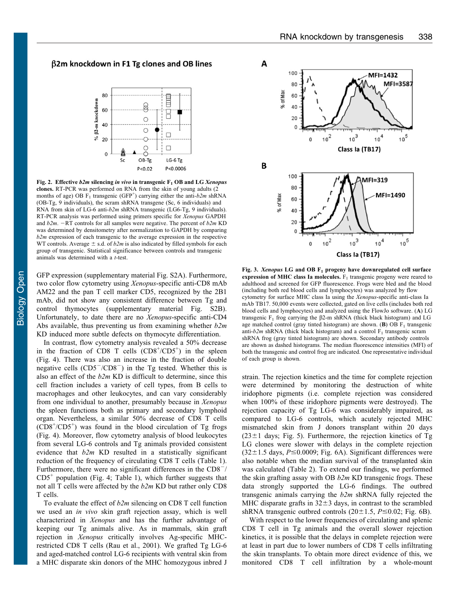## <span id="page-4-0"></span> $\beta$ 2m knockdown in F1 Tg clones and OB lines



Fig. 2. Effective  $b2m$  silencing in vivo in transgenic  $F_1$  OB and LG Xenopus clones. RT-PCR was performed on RNA from the skin of young adults (2 months of age) OB  $F_1$  transgenic (GFP<sup>+</sup>) carrying either the anti- $b2m$  shRNA (OB-Tg, 9 individuals), the scram shRNA transgene (Sc, 6 individuals) and RNA from skin of LG-6 anti-b2m shRNA transgenic (LG6-Tg, 9 individuals). RT-PCR analysis was performed using primers specific for Xenopus GAPDH and  $b2m$ . -RT controls for all samples were negative. The percent of  $b2m$  KD was determined by densitometry after normalization to GAPDH by comparing  $b2m$  expression of each transgenic to the average expression in the respective WT controls. Average  $\pm$  s.d. of  $b2m$  is also indicated by filled symbols for each group of transgenic. Statistical significance between controls and transgenic animals was determined with a t-test.

GFP expression [\(supplementary material Fig. S2A](http://bio.biologists.org/lookup/suppl/doi:10.1242/bio.20133483/-/DC1)). Furthermore, two color flow cytometry using Xenopus-specific anti-CD8 mAb AM22 and the pan T cell marker CD5, recognized by the 2B1 mAb, did not show any consistent difference between Tg and control thymocytes [\(supplementary material Fig. S2B](http://bio.biologists.org/lookup/suppl/doi:10.1242/bio.20133483/-/DC1)). Unfortunately, to date there are no Xenopus-specific anti-CD4 Abs available, thus preventing us from examining whether  $b2m$ KD induced more subtle defects on thymocyte differentiation.

In contrast, flow cytometry analysis revealed a 50% decrease in the fraction of CD8 T cells  $(CD8<sup>+</sup>/CD5<sup>+</sup>)$  in the spleen [\(Fig. 4\)](#page-5-0). There was also an increase in the fraction of double negative cells  $(CD5^-/CD8^-)$  in the Tg tested. Whether this is also an effect of the  $b2m$  KD is difficult to determine, since this cell fraction includes a variety of cell types, from B cells to macrophages and other leukocytes, and can vary considerably from one individual to another, presumably because in Xenopus the spleen functions both as primary and secondary lymphoid organ. Nevertheless, a similar 50% decrease of CD8 T cells  $(CDS<sup>+</sup>/CD5<sup>+</sup>)$  was found in the blood circulation of Tg frogs [\(Fig. 4\)](#page-5-0). Moreover, flow cytometry analysis of blood leukocytes from several LG-6 controls and Tg animals provided consistent evidence that b2m KD resulted in a statistically significant reduction of the frequency of circulating CD8 T cells ([Table 1](#page-5-0)). Furthermore, there were no significant differences in the  $CD8^{-}/$  $CD5<sup>+</sup>$  population [\(Fig. 4](#page-5-0); [Table 1](#page-5-0)), which further suggests that not all T cells were affected by the b2m KD but rather only CD8 T cells.

To evaluate the effect of  $b2m$  silencing on CD8 T cell function we used an in vivo skin graft rejection assay, which is well characterized in Xenopus and has the further advantage of keeping our Tg animals alive. As in mammals, skin graft rejection in Xenopus critically involves Ag-specific MHCrestricted CD8 T cells ([Rau et al., 2001\)](#page-8-0). We grafted Tg LG-6 and aged-matched control LG-6 recipients with ventral skin from a MHC disparate skin donors of the MHC homozygous inbred J



Fig. 3. Xenopus LG and OB  $F_1$  progeny have downregulated cell surface expression of MHC class Ia molecules.  $F_1$  transgenic progeny were reared to adulthood and screened for GFP fluorescence. Frogs were bled and the blood (including both red blood cells and lymphocytes) was analyzed by flow cytometry for surface MHC class Ia using the Xenopus-specific anti-class Ia mAb TB17. 50,000 events were collected, gated on live cells (includes both red blood cells and lymphocytes) and analyzed using the FlowJo software. (A) LG transgenic  $F_1$  frog carrying the  $\beta$ 2-m shRNA (thick black histogram) and LG age matched control (gray tinted histogram) are shown. (B) OB  $F_1$  transgenic anti- $b2m$  shRNA (thick black histogram) and a control  $F_1$  transgenic scram shRNA frog (gray tinted histogram) are shown. Secondary antibody controls are shown as dashed histograms. The median fluorescence intensities (MFI) of both the transgenic and control frog are indicated. One representative individual of each group is shown.

strain. The rejection kinetics and the time for complete rejection were determined by monitoring the destruction of white iridophore pigments (i.e. complete rejection was considered when 100% of these iridophore pigments were destroyed). The rejection capacity of Tg LG-6 was considerably impaired, as compared to LG-6 controls, which acutely rejected MHC mismatched skin from J donors transplant within 20 days  $(23\pm1)$  days; [Fig. 5](#page-5-0)). Furthermore, the rejection kinetics of Tg LG clones were slower with delays in the complete rejection  $(32\pm1.5$  days,  $P \le 0.0009$ ; [Fig. 6A](#page-6-0)). Significant differences were also notable when the median survival of the transplanted skin was calculated ([Table 2](#page-6-0)). To extend our findings, we performed the skin grafting assay with OB  $b2m$  KD transgenic frogs. These data strongly supported the LG-6 findings. The outbred transgenic animals carrying the b2m shRNA fully rejected the MHC disparate grafts in  $32\pm3$  days, in contrast to the scrambled shRNA transgenic outbred controls ( $20 \pm 1.5$ ,  $P \le 0.02$ ; [Fig. 6B](#page-6-0)).

With respect to the lower frequencies of circulating and splenic CD8 T cell in Tg animals and the overall slower rejection kinetics, it is possible that the delays in complete rejection were at least in part due to lower numbers of CD8 T cells infiltrating the skin transplants. To obtain more direct evidence of this, we monitored CD8 T cell infiltration by a whole-mount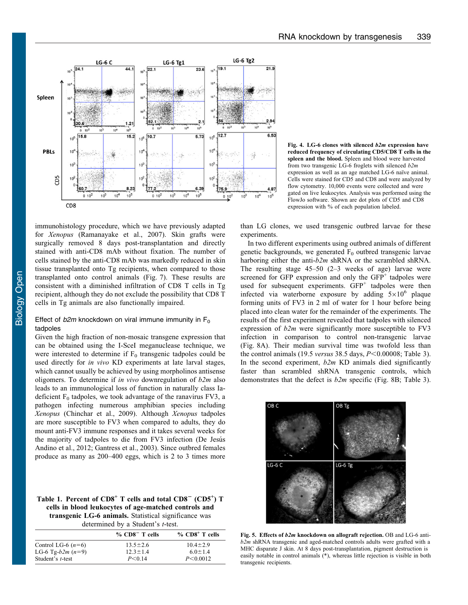<span id="page-5-0"></span>

Fig. 4. LG-6 clones with silenced b2m expression have reduced frequency of circulating CD5/CD8 T cells in the spleen and the blood. Spleen and blood were harvested from two transgenic LG-6 froglets with silenced  $b2m$ expression as well as an age matched LG-6 naïve animal. Cells were stained for CD5 and CD8 and were analyzed by flow cytometry. 10,000 events were collected and were gated on live leukocytes. Analysis was performed using the FlowJo software. Shown are dot plots of CD5 and CD8 expression with % of each population labeled.

immunohistology procedure, which we have previously adapted for Xenopus ([Ramanayake et al., 2007](#page-8-0)). Skin grafts were surgically removed 8 days post-transplantation and directly stained with anti-CD8 mAb without fixation. The number of cells stained by the anti-CD8 mAb was markedly reduced in skin tissue transplanted onto Tg recipients, when compared to those transplanted onto control animals ([Fig. 7\)](#page-6-0). These results are consistent with a diminished infiltration of CD8 T cells in Tg recipient, although they do not exclude the possibility that CD8 T cells in Tg animals are also functionally impaired.

## Effect of  $b2m$  knockdown on viral immune immunity in  $F_0$ tadpoles

Given the high fraction of non-mosaic transgene expression that can be obtained using the I-SceI meganuclease technique, we were interested to determine if  $F_0$  transgenic tadpoles could be used directly for in vivo KD experiments at late larval stages, which cannot usually be achieved by using morpholinos antisense oligomers. To determine if in vivo downregulation of  $b2m$  also leads to an immunological loss of function in naturally class Iadeficient  $F_0$  tadpoles, we took advantage of the ranavirus FV3, a pathogen infecting numerous amphibian species including Xenopus ([Chinchar et al., 2009](#page-7-0)). Although Xenopus tadpoles are more susceptible to FV3 when compared to adults, they do mount anti-FV3 immune responses and it takes several weeks for the majority of tadpoles to die from FV3 infection (De Jesús [Andino et al., 2012](#page-8-0); [Gantress et al., 2003](#page-8-0)). Since outbred females produce as many as 200–400 eggs, which is 2 to 3 times more

Table 1. Percent of  $CD8<sup>+</sup>$  T cells and total  $CD8<sup>-</sup>$  ( $CD5<sup>+</sup>$ ) T cells in blood leukocytes of age-matched controls and transgenic LG-6 animals. Statistical significance was determined by a Student's t-test.

|                      | $\%$ CD8 <sup>-</sup> T cells | $%$ CD8 <sup>+</sup> T cells |
|----------------------|-------------------------------|------------------------------|
| Control LG-6 $(n=6)$ | $13.5 \pm 2.6$                | $10.4 \pm 2.9$               |
| LG-6 Tg- $b2m (n=9)$ | $12.3 \pm 1.4$                | $6.0 \pm 1.4$                |
| Student's t-test     | P < 0.14                      | P < 0.0012                   |

than LG clones, we used transgenic outbred larvae for these experiments.

In two different experiments using outbred animals of different genetic backgrounds, we generated  $F_0$  outbred transgenic larvae harboring either the anti-b2m shRNA or the scrambled shRNA. The resulting stage 45–50 (2–3 weeks of age) larvae were screened for GFP expression and only the  $GFP<sup>+</sup>$  tadpoles were used for subsequent experiments.  $GFP<sup>+</sup>$  tadpoles were then infected via waterborne exposure by adding  $5\times10^6$  plaque forming units of FV3 in 2 ml of water for 1 hour before being placed into clean water for the remainder of the experiments. The results of the first experiment revealed that tadpoles with silenced expression of  $b2m$  were significantly more susceptible to FV3 infection in comparison to control non-transgenic larvae ([Fig. 8A\)](#page-6-0). Their median survival time was twofold less than the control animals (19.5 versus 38.5 days,  $P \le 0.00008$ ; [Table 3](#page-7-0)). In the second experiment,  $b2m$  KD animals died significantly faster than scrambled shRNA transgenic controls, which demonstrates that the defect is  $b2m$  specific ([Fig. 8B;](#page-6-0) [Table 3](#page-7-0)).



Fig. 5. Effects of b2m knockdown on allograft rejection. OB and LG-6 antib2m shRNA transgenic and aged-matched controls adults were grafted with a MHC disparate J skin. At 8 days post-transplantation, pigment destruction is easily notable in control animals (\*), whereas little rejection is visible in both transgenic recipients.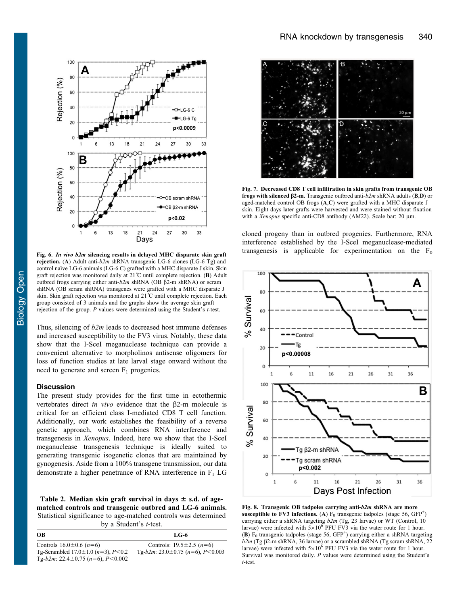<span id="page-6-0"></span>

rejection. (A) Adult anti- $b2m$  shRNA transgenic LG-6 clones (LG-6 Tg) and control naïve LG-6 animals (LG-6 C) grafted with a MHC disparate J skin. Skin graft rejection was monitored daily at 21˚C until complete rejection. (B) Adult outbred frogs carrying either anti- $b2m$  shRNA (OB  $\beta$ 2-m shRNA) or scram shRNA (OB scram shRNA) transgenes were grafted with a MHC disparate J skin. Skin graft rejection was monitored at 21˚C until complete rejection. Each group consisted of 3 animals and the graphs show the average skin graft rejection of the group. P values were determined using the Student's t-test.

Thus, silencing of  $b2m$  leads to decreased host immune defenses and increased susceptibility to the FV3 virus. Notably, these data show that the I-SceI meganuclease technique can provide a convenient alternative to morpholinos antisense oligomers for loss of function studies at late larval stage onward without the need to generate and screen  $F_1$  progenies.

### Discussion

The present study provides for the first time in ectothermic vertebrates direct in vivo evidence that the  $\beta$ 2-m molecule is critical for an efficient class I-mediated CD8 T cell function. Additionally, our work establishes the feasibility of a reverse genetic approach, which combines RNA interference and transgenesis in Xenopus. Indeed, here we show that the I-SceI meganuclease transgenesis technique is ideally suited to generating transgenic isogenetic clones that are maintained by gynogenesis. Aside from a 100% transgene transmission, our data demonstrate a higher penetrance of RNA interference in  $F_1$  LG

Table 2. Median skin graft survival in days  $\pm$  s.d. of agematched controls and transgenic outbred and LG-6 animals. Statistical significance to age-matched controls was determined by a Student's t-test.

| OВ                                             | LG-6                                   |
|------------------------------------------------|----------------------------------------|
| Controls $16.0 \pm 0.6$ (n=6)                  | Controls: $19.5 \pm 2.5$ ( $n=6$ )     |
| Tg-Scrambled $17.0 \pm 1.0$ ( $n=3$ ), $P<0.2$ | Tg-b2m; $23.0 \pm 0.75$ (n=6), P<0.003 |
| Tg-b2m: $22.4 \pm 0.75$ (n=6), P<0.002         |                                        |



Fig. 7. Decreased CD8 T cell infiltration in skin grafts from transgenic OB frogs with silenced  $\beta$ 2-m. Transgenic outbred anti- $b2m$  shRNA adults (B,D) or aged-matched control OB frogs (A,C) were grafted with a MHC disparate J skin. Eight days later grafts were harvested and were stained without fixation with a Xenopus specific anti-CD8 antibody (AM22). Scale bar: 20 µm.

cloned progeny than in outbred progenies. Furthermore, RNA interference established by the I-SceI meganuclease-mediated Fig. 6. In vivo b2m silencing results in delayed MHC disparate skin graft transgenesis is applicable for experimentation on the  $F_0$ 



Fig. 8. Transgenic OB tadpoles carrying anti-b2m shRNA are more susceptible to FV3 infections. (A)  $F_0$  transgenic tadpoles (stage 56, GFP<sup>+</sup>) carrying either a shRNA targeting b2m (Tg, 23 larvae) or WT (Control, 10 larvae) were infected with  $5\times10^6$  PFU FV3 via the water route for 1 hour. (B)  $F_0$  transgenic tadpoles (stage 56, GFP<sup>+</sup>) carrying either a shRNA targeting  $b2m$  (Tg  $\beta$ 2-m shRNA, 36 larvae) or a scrambled shRNA (Tg scram shRNA, 22 larvae) were infected with  $5\times10^6$  PFU FV3 via the water route for 1 hour. Survival was monitored daily. P values were determined using the Student's t-test.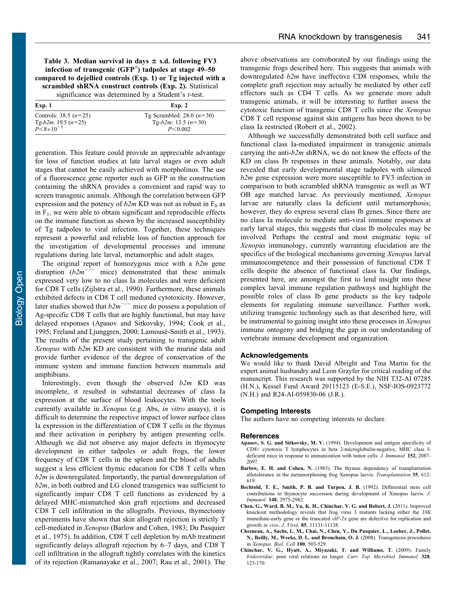<span id="page-7-0"></span>significance was determined by a Student's *t*-test.

| Exp. 1                                           | Exp. 2                                               |
|--------------------------------------------------|------------------------------------------------------|
| Controls: 38.5 $(n=25)$<br>Tg-b2m: 19.5 $(n=25)$ | Tg Scrambled: 28.0 $(n=30)$<br>Tg-b2m: 13.5 $(n=30)$ |
| $P \le 8 \times 10^{-5}$                         | P < 0.002                                            |

generation. This feature could provide an appreciable advantage for loss of function studies at late larval stages or even adult stages that cannot be easily achieved with morpholinos. The use of a fluorescence gene reporter such as GFP in the construction containing the shRNA provides a convenient and rapid way to screen transgenic animals. Although the correlation between GFP expression and the potency of  $b2m$  KD was not as robust in  $F_0$  as in  $F_1$ , we were able to obtain significant and reproducible effects on the immune function as shown by the increased susceptibility of Tg tadpoles to viral infection. Together, these techniques represent a powerful and reliable loss of function approach for the investigation of developmental processes and immune regulations during late larval, metamorphic and adult stages.

The original report of homozygous mice with a  $b2m$  gene disruption  $(b2m^{-/-}$  mice) demonstrated that these animals expressed very low to no class Ia molecules and were deficient for CD8 T cells ([Zijlstra et al., 1990](#page-8-0)). Furthermore, these animals exhibited defects in CD8 T cell mediated cytotoxicity. However, later studies showed that  $b2m^{-/-}$  mice do possess a population of Ag-specific CD8 T cells that are highly functional, but may have delayed responses (Apasov and Sitkovsky, 1994; [Cook et al.,](#page-8-0) 1995; Freland and Ljunggren, 2000; Lamousé-Smith et al., 1993). The results of the present study pertaining to transgenic adult Xenopus with  $b2m$  KD are consistent with the murine data and provide further evidence of the degree of conservation of the immune system and immune function between mammals and amphibians.

Interestingly, even though the observed  $b2m$  KD was incomplete, it resulted in substantial decreases of class Ia expression at the surface of blood leukocytes. With the tools currently available in Xenopus (e.g. Abs, in vitro assays), it is difficult to determine the respective impact of lower surface class Ia expression in the differentiation of CD8 T cells in the thymus and their activation in periphery by antigen presenting cells. Although we did not observe any major defects in thymocyte development in either tadpoles or adult frogs, the lower frequency of CD8 T cells in the spleen and the blood of adults suggest a less efficient thymic education for CD8 T cells when  $b2m$  is downregulated. Importantly, the partial downregulation of  $b2m$ , in both outbred and LG cloned transgenics was sufficient to significantly impair CD8 T cell functions as evidenced by a delayed MHC-mismatched skin graft rejections and decreased CD8 T cell infiltration in the allografts. Previous, thymectomy experiments have shown that skin allograft rejection is strictly T cell-mediated in Xenopus (Barlow and Cohen, 1983; [Du Pasquier](#page-8-0) [et al., 1975](#page-8-0)). In addition, CD8 T cell depletion by mAb treatment significantly delays allograft rejection by 6–7 days, and CD8 T cell infiltration in the allograft tightly correlates with the kinetics of its rejection [\(Ramanayake et al., 2007; Rau et al., 2001\)](#page-8-0). The above observations are corroborated by our findings using the transgenic frogs described here. This suggests that animals with downregulated b2m have ineffective CD8 responses, while the complete graft rejection may actually be mediated by other cell effectors such as CD4 T cells. As we generate more adult transgenic animals, it will be interesting to further assess the cytotoxic function of transgenic CD8 T cells since the Xenopus CD8 T cell response against skin antigens has been shown to be class Ia restricted ([Robert et al., 2002](#page-8-0)).

Although we successfully demonstrated both cell surface and functional class Ia-mediated impairment in transgenic animals carrying the anti- $b2m$  shRNA, we do not know the effects of the KD on class Ib responses in these animals. Notably, our data revealed that early developmental stage tadpoles with silenced  $b2m$  gene expression were more susceptible to FV3 infection in comparison to both scrambled shRNA transgenic as well as WT OB age matched larvae. As previously mentioned, Xenopus larvae are naturally class Ia deficient until metamorphosis; however, they do express several class Ib genes. Since there are no class Ia molecule to mediate anti-viral immune responses at early larval stages, this suggests that class Ib molecules may be involved. Perhaps the central and most enigmatic topic of Xenopus immunology, currently warranting elucidation are the specifics of the biological mechanisms governing Xenopus larval immunocompetence and their possession of functional CD8 T cells despite the absence of functional class Ia. Our findings, presented here, are amongst the first to lend insight into these complex larval immune regulation pathways and highlight the possible roles of class Ib gene products as the key tadpole elements for regulating immune surveillance. Further work, utilizing transgenic technology such as that described here, will be instrumental to gaining insight into these processes in Xenopus immune ontogeny and bridging the gap in our understanding of vertebrate immune development and organization.

#### Acknowledgements

We would like to thank David Albright and Tina Martin for the expert animal husbandry and Leon Grayfer for critical reading of the manuscript. This research was supported by the NIH T32-AI 07285 (H.N.), Kessel Fund Award 20115123 (E-S.E.), NSF-IOS-0923772 (N.H.) and R24-AI-059830-06 (J.R.).

## Competing Interests

The authors have no competing interests to declare.

#### References

- Apasov, S. G. and Sitkovsky, M. V. (1994). Development and antigen specificity of CD8+ cytotoxic T lymphocytes in beta 2-microglobulin-negative, MHC class Ideficient mice in response to immunization with tumor cells. J. Immunol. 152, 2087- 2097.
- Barlow, E. H. and Cohen, N. [\(1983\). The thymus dependency of transplantation](http://dx.doi.org/10.1097/00007890-198306000-00018) [allotolerance in the metamorphosing frog Xenopus laevis.](http://dx.doi.org/10.1097/00007890-198306000-00018) Transplantation 35, 612- [619.](http://dx.doi.org/10.1097/00007890-198306000-00018)
- Bechtold, T. E., Smith, P. B. and Turpen, J. B. (1992). Differential stem cell contributions to thymocyte succession during development of Xenopus laevis. J. Immunol. 148, 2975-2982.
- [Chen, G., Ward, B. M., Yu, K. H., Chinchar, V. G. and Robert, J.](http://dx.doi.org/10.1128/JVI.05589-11) (2011). Improved [knockout methodology reveals that frog virus 3 mutants lacking either the](http://dx.doi.org/10.1128/JVI.05589-11) 18K [immediate-early gene or the truncated](http://dx.doi.org/10.1128/JVI.05589-11)  $vIF-2\alpha$  gene are defective for replication and growth in vivo. J. Virol. 85[, 11131-11138.](http://dx.doi.org/10.1128/JVI.05589-11)
- [Chesneau, A., Sachs, L. M., Chai, N., Chen, Y., Du Pasquier, L., Loeber, J., Pollet,](http://dx.doi.org/10.1042/BC20070148) [N., Reilly, M., Weeks, D. L. and Bronchain, O. J.](http://dx.doi.org/10.1042/BC20070148) (2008). Transgenesis procedures in Xenopus. Biol. Cell 100[, 503-529.](http://dx.doi.org/10.1042/BC20070148)
- [Chinchar, V. G., Hyatt, A., Miyazaki, T. and Williams, T.](http://dx.doi.org/10.1007/978-3-540-68618-7_4) (2009). Family Iridoviridae[: poor viral relations no longer.](http://dx.doi.org/10.1007/978-3-540-68618-7_4) Curr. Top. Microbiol. Immunol. 328, [123-170.](http://dx.doi.org/10.1007/978-3-540-68618-7_4)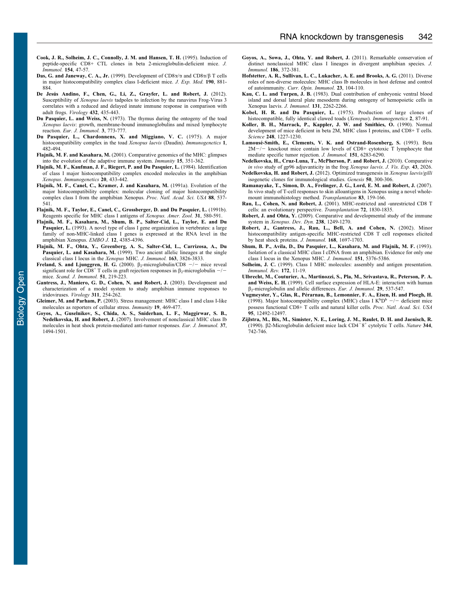- <span id="page-8-0"></span>Cook, J. R., Solheim, J. C., Connolly, J. M. and Hansen, T. H. (1995). Induction of peptide-specific CD8+ CTL clones in beta 2-microglobulin-deficient mice. J. Immunol. 154, 47-57.
- [Das, G. and Janeway, C. A., Jr.](http://dx.doi.org/10.1084/jem.190.6.881) (1999). Development of  $CD8\alpha/\alpha$  and  $CD8\alpha/\beta$  T cells [in major histocompatibility complex class I-deficient mice.](http://dx.doi.org/10.1084/jem.190.6.881) J. Exp. Med. 190, 881- [884.](http://dx.doi.org/10.1084/jem.190.6.881)
- De Jesús Andino, F., Chen, G., Li, Z., Grayfer, L. and Robert, J. (2012). Susceptibility of Xenopus laevis [tadpoles to infection by the ranavirus Frog-Virus 3](http://dx.doi.org/10.1016/j.virol.2012.07.001) [correlates with a reduced and delayed innate immune response in comparison with](http://dx.doi.org/10.1016/j.virol.2012.07.001) [adult frogs.](http://dx.doi.org/10.1016/j.virol.2012.07.001) Virology 432, 435-443.
- Du Pasquier, L. and Weiss, N. [\(1973\). The thymus during the ontogeny of the toad](http://dx.doi.org/10.1002/eji.1830031207) Xenopus laevis[: growth, membrane-bound immunoglobulins and mixed lymphocyte](http://dx.doi.org/10.1002/eji.1830031207) reaction. [Eur. J. Immunol.](http://dx.doi.org/10.1002/eji.1830031207) 3, 773-777.
- [Du Pasquier, L., Chardonnens, X. and Miggiano, V. C.](http://dx.doi.org/10.1007/BF01564086) (1975). A major [histocompatibility complex in the toad](http://dx.doi.org/10.1007/BF01564086) Xenopus laevis (Daudin). Immunogenetics 1, [482-494.](http://dx.doi.org/10.1007/BF01564086)
- Flajnik, M. F. and Kasahara, M. [\(2001\). Comparative genomics of the MHC: glimpses](http://dx.doi.org/10.1016/S1074-7613(01)00198-4) [into the evolution of the adaptive immune system.](http://dx.doi.org/10.1016/S1074-7613(01)00198-4) Immunity 15, 351-362.
- [Flajnik, M. F., Kaufman, J. F., Riegert, P. and Du Pasquier, L.](http://dx.doi.org/10.1007/BF00345617) (1984). Identification [of class I major histocompatibility complex encoded molecules in the amphibian](http://dx.doi.org/10.1007/BF00345617) Xenopus. [Immunogenetics](http://dx.doi.org/10.1007/BF00345617) 20, 433-442.
- [Flajnik, M. F., Canel, C., Kramer, J. and Kasahara, M.](http://dx.doi.org/10.1073/pnas.88.2.537) (1991a). Evolution of the [major histocompatibility complex: molecular cloning of major histocompatibility](http://dx.doi.org/10.1073/pnas.88.2.537) [complex class I from the amphibian Xenopus.](http://dx.doi.org/10.1073/pnas.88.2.537) Proc. Natl. Acad. Sci. USA 88, 537-[541.](http://dx.doi.org/10.1073/pnas.88.2.537)
- [Flajnik, M. F., Taylor, E., Canel, C., Grossberger, D. and Du Pasquier, L.](http://dx.doi.org/10.1093/icb/31.3.580) (1991b). [Reagents specific for MHC class I antigens of](http://dx.doi.org/10.1093/icb/31.3.580) Xenopus. Amer. Zool. 31, 580-591.
- Flajnik, M. F., Kasahara, M., Shum, B. P., Salter-Cid, L., Taylor, E. and Du Pasquier, L. (1993). A novel type of class I gene organization in vertebrates: a large family of non-MHC-linked class I genes is expressed at the RNA level in the amphibian Xenopus. EMBO J. 12, 4385-4396.
- Flajnik, M. F., Ohta, Y., Greenberg, A. S., Salter-Cid, L., Carrizosa, A., Du Pasquier, L. and Kasahara, M. (1999). Two ancient allelic lineages at the single classical class I locus in the Xenopus MHC. J. Immunol. 163, 3826-3833.
- [Freland, S. and Ljunggren, H. G.](http://dx.doi.org/10.1046/j.1365-3083.2000.00712.x) (2000).  $\beta_2$ -microglobulin/CD8 -/- mice reveal [significant](http://dx.doi.org/10.1046/j.1365-3083.2000.00712.x) [role](http://dx.doi.org/10.1046/j.1365-3083.2000.00712.x) [for](http://dx.doi.org/10.1046/j.1365-3083.2000.00712.x) [CD8](http://dx.doi.org/10.1046/j.1365-3083.2000.00712.x)<sup>+</sup> [T cells in graft rejection responses in](http://dx.doi.org/10.1046/j.1365-3083.2000.00712.x)  $\beta_2$ -microglobulin -/-mice. [Scand. J. Immunol.](http://dx.doi.org/10.1046/j.1365-3083.2000.00712.x) **51**, 219-223.
- [Gantress, J., Maniero, G. D., Cohen, N. and Robert, J.](http://dx.doi.org/10.1016/S0042-6822(03)00151-X) (2003). Development and [characterization of a model system to study amphibian immune responses to](http://dx.doi.org/10.1016/S0042-6822(03)00151-X) [iridoviruses.](http://dx.doi.org/10.1016/S0042-6822(03)00151-X) Virology 311, 254-262.
- Gleimer, M. and Parham, P. [\(2003\). Stress management: MHC class I and class I-like](http://dx.doi.org/10.1016/S1074-7613(03)00272-3) [molecules as reporters of cellular stress.](http://dx.doi.org/10.1016/S1074-7613(03)00272-3) Immunity 19, 469-477.
- [Goyos, A., Guselnikov, S., Chida, A. S., Sniderhan, L. F., Maggirwar, S. B.,](http://dx.doi.org/10.1002/eji.200636570) Nedelkovska, H. and Robert, J. [\(2007\). Involvement of nonclassical MHC class Ib](http://dx.doi.org/10.1002/eji.200636570) [molecules in heat shock protein-mediated anti-tumor responses.](http://dx.doi.org/10.1002/eji.200636570) Eur. J. Immunol. 37, [1494-1501.](http://dx.doi.org/10.1002/eji.200636570)
- [Goyos, A., Sowa, J., Ohta, Y. and Robert, J.](http://dx.doi.org/10.4049/jimmunol.1001467) (2011). Remarkable conservation of [distinct nonclassical MHC class I lineages in divergent amphibian species.](http://dx.doi.org/10.4049/jimmunol.1001467) J. Immunol. 186[, 372-381.](http://dx.doi.org/10.4049/jimmunol.1001467)
- [Hofstetter, A. R., Sullivan, L. C., Lukacher, A. E. and Brooks, A. G.](http://dx.doi.org/10.1016/j.coi.2010.09.009) (2011). Diverse [roles of non-diverse molecules: MHC class Ib molecules in host defense and control](http://dx.doi.org/10.1016/j.coi.2010.09.009) of autoimmunity. [Curr. Opin. Immunol.](http://dx.doi.org/10.1016/j.coi.2010.09.009) 23, 104-110.
- Kau, C. L. and Turpen, J. B. (1983). Dual contribution of embryonic ventral blood island and dorsal lateral plate mesoderm during ontogeny of hemopoietic cells in Xenopus laevis. J. Immunol. 131, 2262-2266.
- Kobel, H. R. and Du Pasquier, L. [\(1975\). Production of large clones of](http://dx.doi.org/10.1007/BF01572278) [histocompatible, fully identical clawed toads \(](http://dx.doi.org/10.1007/BF01572278)Xenopus). Immunogenetics 2, 87-91.
- [Koller, B. H., Marrack, P., Kappler, J. W. and Smithies, O.](http://dx.doi.org/10.1126/science.2112266) (1990). Normal [development of mice deficient in beta 2M, MHC class I proteins, and CD8+ T cells.](http://dx.doi.org/10.1126/science.2112266) Science 248[, 1227-1230.](http://dx.doi.org/10.1126/science.2112266)
- Lamousé-Smith, E., Clements, V. K. and Ostrand-Rosenberg, S. (1993). Beta  $2M-/-$  knockout mice contain low levels of CD8+ cytotoxic T lymphocyte that mediate specific tumor rejection. J. Immunol. 151, 6283-6290.
- [Nedelkovska, H., Cruz-Luna, T., McPherson, P. and Robert, J.](http://dx.doi.org/10.3791/2026) (2010). Comparative in vivo [study of gp96 adjuvanticity in the frog](http://dx.doi.org/10.3791/2026) Xenopus laevis. J. Vis. Exp. 43, 2026.
- Nedelkovska, H. and Robert, J. [\(2012\). Optimized transgenesis in](http://dx.doi.org/10.1002/dvg.20809) Xenopus laevis/gilli [isogenetic clones for immunological studies.](http://dx.doi.org/10.1002/dvg.20809) Genesis 50, 300-306.
- [Ramanayake, T., Simon, D. A., Frelinger, J. G., Lord, E. M. and Robert, J.](http://dx.doi.org/10.1097/01.tp.0000250562.35175.06) (2007). [In vivo study of T-cell responses to skin alloantigens in Xenopus using a novel whole](http://dx.doi.org/10.1097/01.tp.0000250562.35175.06)[mount immunohistology method.](http://dx.doi.org/10.1097/01.tp.0000250562.35175.06) Transplantation 83, 159-166.
- Rau, L., Cohen, N. and Robert, J. [\(2001\). MHC-restricted and -unrestricted CD8 T](http://dx.doi.org/10.1097/00007890-200112150-00020) [cells: an evolutionary perspective.](http://dx.doi.org/10.1097/00007890-200112150-00020) Transplantation 72, 1830-1835.
- Robert, J. and Ohta, Y. [\(2009\). Comparative and developmental study of the immune](http://dx.doi.org/10.1002/dvdy.21891) system in Xenopus. Dev. Dyn. 238[, 1249-1270.](http://dx.doi.org/10.1002/dvdy.21891)
- Robert, J., Gantress, J., Rau, L., Bell, A. and Cohen, N. (2002). Minor histocompatibility antigen-specific MHC-restricted CD8 T cell responses elicited by heat shock proteins. J. Immunol. 168, 1697-1703.
- Shum, B. P., Avila, D., Du Pasquier, L., Kasahara, M. and Flajnik, M. F. (1993). Isolation of a classical MHC class I cDNA from an amphibian. Evidence for only one class I locus in the Xenopus MHC. J. Immunol. 151, 5376-5386.
- Solheim, J. C. [\(1999\). Class I MHC molecules: assembly and antigen presentation.](http://dx.doi.org/10.1111/j.1600-065X.1999.tb01352.x) [Immunol. Rev.](http://dx.doi.org/10.1111/j.1600-065X.1999.tb01352.x) 172, 11-19.
- [Ulbrecht, M., Couturier, A., Martinozzi, S., Pla, M., Srivastava, R., Peterson, P. A.](http://dx.doi.org/10.1002/(SICI)1521-4141(199902)29:02<537::AID-IMMU537>3.0.CO;2-6) and Weiss, E. H. [\(1999\). Cell surface expression of HLA-E: interaction with human](http://dx.doi.org/10.1002/(SICI)1521-4141(199902)29:02<537::AID-IMMU537>3.0.CO;2-6) [b](http://dx.doi.org/10.1002/(SICI)1521-4141(199902)29:02<537::AID-IMMU537>3.0.CO;2-6)[2-microglobulin and allelic differences.](http://dx.doi.org/10.1002/(SICI)1521-4141(199902)29:02<537::AID-IMMU537>3.0.CO;2-6) Eur. J. Immunol. 29, 537-547.
- Vugmeyster, Y., Glas, R., Pérarnau, B., Lemonnier, F. A., Eisen, H. and Ploegh, H. [\(1998\).](http://dx.doi.org/10.1073/pnas.95.21.12492) [Major](http://dx.doi.org/10.1073/pnas.95.21.12492) [histocompatibility](http://dx.doi.org/10.1073/pnas.95.21.12492) [complex](http://dx.doi.org/10.1073/pnas.95.21.12492) [\(MHC\)](http://dx.doi.org/10.1073/pnas.95.21.12492) [class](http://dx.doi.org/10.1073/pnas.95.21.12492) [I](http://dx.doi.org/10.1073/pnas.95.21.12492)  $K^bD^b$  -/- [deficient mice](http://dx.doi.org/10.1073/pnas.95.21.12492) [possess functional CD8+ T cells and natural killer cells.](http://dx.doi.org/10.1073/pnas.95.21.12492) Proc. Natl. Acad. Sci. USA 95[, 12492-12497.](http://dx.doi.org/10.1073/pnas.95.21.12492)
- [Zijlstra, M., Bix, M., Simister, N. E., Loring, J. M., Raulet, D. H. and Jaenisch, R.](http://dx.doi.org/10.1038/344742a0) (1990).  $\beta$ [2-Microglobulin](http://dx.doi.org/10.1038/344742a0) [deficient](http://dx.doi.org/10.1038/344742a0) [mice](http://dx.doi.org/10.1038/344742a0) [lack](http://dx.doi.org/10.1038/344742a0) [CD4](http://dx.doi.org/10.1038/344742a0)<sup>-[8+](http://dx.doi.org/10.1038/344742a0)</sup> [cytolytic T cells.](http://dx.doi.org/10.1038/344742a0) Nature 344, [742-746.](http://dx.doi.org/10.1038/344742a0)